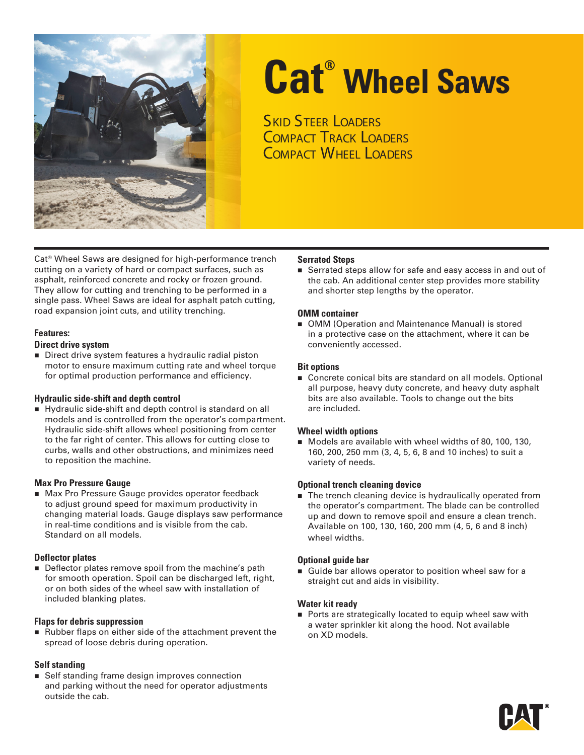

# **Cat® Wheel Saws**

**SKID STEER LOADERS COMPACT TRACK LOADERS** Compact Wheel Loaders

Cat® Wheel Saws are designed for high-performance trench cutting on a variety of hard or compact surfaces, such as asphalt, reinforced concrete and rocky or frozen ground. They allow for cutting and trenching to be performed in a single pass. Wheel Saws are ideal for asphalt patch cutting, road expansion joint cuts, and utility trenching.

#### **Features:**

#### **Direct drive system**

Direct drive system features a hydraulic radial piston motor to ensure maximum cutting rate and wheel torque for optimal production performance and efficiency.

#### **Hydraulic side-shift and depth control**

Hydraulic side-shift and depth control is standard on all models and is controlled from the operator's compartment. Hydraulic side-shift allows wheel positioning from center to the far right of center. This allows for cutting close to curbs, walls and other obstructions, and minimizes need to reposition the machine.

#### **Max Pro Pressure Gauge**

Max Pro Pressure Gauge provides operator feedback to adjust ground speed for maximum productivity in changing material loads. Gauge displays saw performance in real-time conditions and is visible from the cab. Standard on all models.

#### **Deflector plates**

Deflector plates remove spoil from the machine's path for smooth operation. Spoil can be discharged left, right, or on both sides of the wheel saw with installation of included blanking plates.

#### **Flaps for debris suppression**

Rubber flaps on either side of the attachment prevent the spread of loose debris during operation.

#### **Self standing**

**Self standing frame design improves connection** and parking without the need for operator adjustments outside the cab.

#### **Serrated Steps**

 Serrated steps allow for safe and easy access in and out of the cab. An additional center step provides more stability and shorter step lengths by the operator.

#### **OMM container**

■ OMM (Operation and Maintenance Manual) is stored in a protective case on the attachment, where it can be conveniently accessed.

#### **Bit options**

Concrete conical bits are standard on all models. Optional all purpose, heavy duty concrete, and heavy duty asphalt bits are also available. Tools to change out the bits are included.

#### **Wheel width options**

Models are available with wheel widths of 80, 100, 130, 160, 200, 250 mm (3, 4, 5, 6, 8 and 10 inches) to suit a variety of needs.

#### **Optional trench cleaning device**

■ The trench cleaning device is hydraulically operated from the operator's compartment. The blade can be controlled up and down to remove spoil and ensure a clean trench. Available on 100, 130, 160, 200 mm (4, 5, 6 and 8 inch) wheel widths.

#### **Optional guide bar**

Guide bar allows operator to position wheel saw for a straight cut and aids in visibility.

#### **Water kit ready**

**Ports are strategically located to equip wheel saw with** a water sprinkler kit along the hood. Not available on XD models.

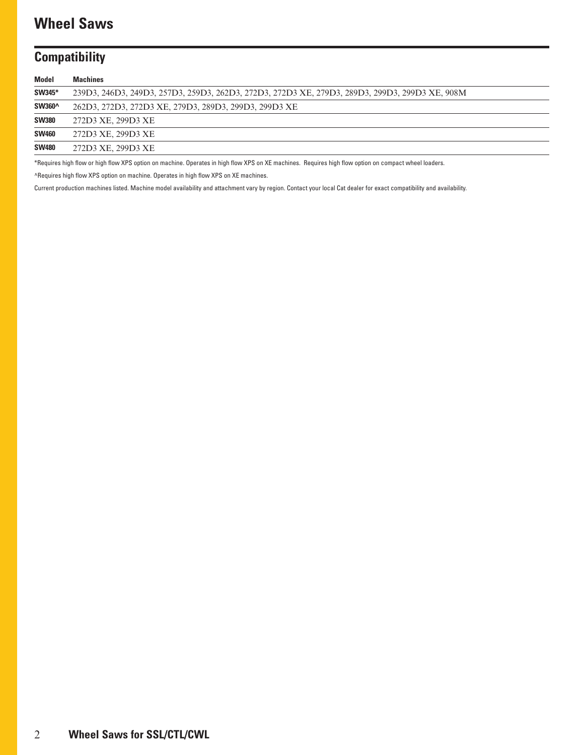# **Wheel Saws**

## **Compatibility**

| <b>Machines</b>                                                                                |
|------------------------------------------------------------------------------------------------|
| 239D3, 246D3, 249D3, 257D3, 259D3, 262D3, 272D3, 272D3 XE, 279D3, 289D3, 299D3, 299D3 XE, 908M |
| 262D3, 272D3, 272D3 XE, 279D3, 289D3, 299D3, 299D3 XE                                          |
| 272D3 XE, 299D3 XE                                                                             |
| 272D3 XE, 299D3 XE                                                                             |
| 272D3 XE, 299D3 XE                                                                             |
|                                                                                                |

\*Requires high flow or high flow XPS option on machine. Operates in high flow XPS on XE machines. Requires high flow option on compact wheel loaders.

^Requires high flow XPS option on machine. Operates in high flow XPS on XE machines.

Current production machines listed. Machine model availability and attachment vary by region. Contact your local Cat dealer for exact compatibility and availability.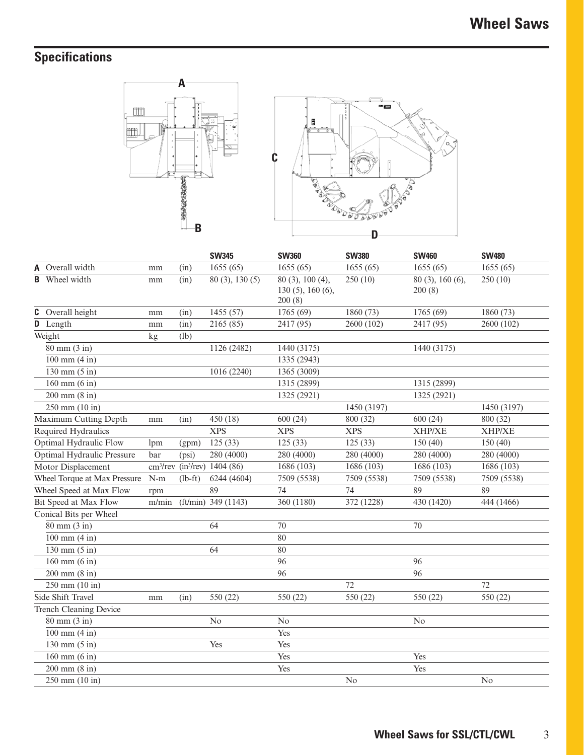# **Specifications**





|                                      |       |           | <b>SW345</b>                                          | <b>SW360</b>                                      | <b>SW380</b> | <b>SW460</b>               | <b>SW480</b>  |
|--------------------------------------|-------|-----------|-------------------------------------------------------|---------------------------------------------------|--------------|----------------------------|---------------|
| Overall width<br>A                   | mm    | (in)      | 1655(65)                                              | 1655(65)                                          | 1655(65)     | 1655(65)                   | 1655(65)      |
| <b>B</b> Wheel width                 | mm    | (in)      | $\overline{80}$ (3), 130 (5)                          | 80 (3), 100 (4),<br>$130(5)$ , 160 (6),<br>200(8) | 250(10)      | 80 (3), 160 (6),<br>200(8) | 250(10)       |
| Overall height<br>C                  | mm    | (in)      | 1455 (57)                                             | 1765 (69)                                         | 1860 (73)    | 1765 (69)                  | 1860 (73)     |
| D Length                             | mm    | (in)      | 2165 (85)                                             | 2417 (95)                                         | 2600 (102)   | 2417 (95)                  | 2600 (102)    |
| Weight                               | kg    | (lb)      |                                                       |                                                   |              |                            |               |
| $80$ mm $(3$ in)                     |       |           | 1126 (2482)                                           | 1440 (3175)                                       |              | 1440 (3175)                |               |
| $100$ mm $(4 \text{ in})$            |       |           |                                                       | 1335 (2943)                                       |              |                            |               |
| $130 \text{ mm} (5 \text{ in})$      |       |           | 1016 (2240)                                           | 1365 (3009)                                       |              |                            |               |
| $160$ mm $(6 \text{ in})$            |       |           |                                                       | 1315 (2899)                                       |              | 1315 (2899)                |               |
| $200 \text{ mm} (8 \text{ in})$      |       |           |                                                       | 1325 (2921)                                       |              | 1325 (2921)                |               |
| $250$ mm $(10$ in)                   |       |           |                                                       |                                                   | 1450 (3197)  |                            | 1450 (3197)   |
| Maximum Cutting Depth                | mm    | (in)      | 450 (18)                                              | 600(24)                                           | 800 (32)     | 600(24)                    | 800 (32)      |
| Required Hydraulics                  |       |           | <b>XPS</b>                                            | <b>XPS</b>                                        | <b>XPS</b>   | <b>XHP/XE</b>              | <b>XHP/XE</b> |
| Optimal Hydraulic Flow               | lpm   | (gpm)     | 125(33)                                               | 125(33)                                           | 125(33)      | 150(40)                    | 150(40)       |
| <b>Optimal Hydraulic Pressure</b>    | bar   | (psi)     | 280 (4000)                                            | 280 (4000)                                        | 280 (4000)   | 280 (4000)                 | 280 (4000)    |
| Motor Displacement                   |       |           | cm <sup>3</sup> /rev (in <sup>3</sup> /rev) 1404 (86) | 1686 (103)                                        | 1686 (103)   | 1686 (103)                 | 1686 (103)    |
| Wheel Torque at Max Pressure         | $N-m$ | $(lb-ft)$ | 6244 (4604)                                           | 7509 (5538)                                       | 7509 (5538)  | 7509 (5538)                | 7509 (5538)   |
| Wheel Speed at Max Flow              | rpm   |           | 89                                                    | 74                                                | 74           | 89                         | 89            |
| Bit Speed at Max Flow                | m/min |           | $(ft/min)$ 349 (1143)                                 | 360 (1180)                                        | 372 (1228)   | 430 (1420)                 | 444 (1466)    |
| Conical Bits per Wheel               |       |           |                                                       |                                                   |              |                            |               |
| $80$ mm $(3$ in)                     |       |           | 64                                                    | 70                                                |              | 70                         |               |
| $100 \text{ mm} (4 \text{ in})$      |       |           |                                                       | 80                                                |              |                            |               |
| $\overline{130}$ mm $(5 \text{ in})$ |       |           | 64                                                    | 80                                                |              |                            |               |
| $160$ mm $(6 \text{ in})$            |       |           |                                                       | 96                                                |              | 96                         |               |
| $200 \text{ mm} (8 \text{ in})$      |       |           |                                                       | 96                                                |              | 96                         |               |
| $250$ mm $(10$ in)                   |       |           |                                                       |                                                   | 72           |                            | 72            |
| Side Shift Travel                    | mm    | (in)      | 550 (22)                                              | 550 (22)                                          | 550 (22)     | 550 (22)                   | 550 (22)      |
| <b>Trench Cleaning Device</b>        |       |           |                                                       |                                                   |              |                            |               |
| $80$ mm $(3$ in)                     |       |           | N <sub>o</sub>                                        | No                                                |              | No                         |               |
| $100 \text{ mm} (4 \text{ in})$      |       |           |                                                       | Yes                                               |              |                            |               |
| $130$ mm $(5 \text{ in})$            |       |           | Yes                                                   | Yes                                               |              |                            |               |
| $160$ mm $(6 \text{ in})$            |       |           |                                                       | Yes                                               |              | Yes                        |               |
| $200 \text{ mm} (8 \text{ in})$      |       |           |                                                       | Yes                                               |              | Yes                        |               |
| $250$ mm $(10$ in)                   |       |           |                                                       |                                                   | No           |                            | No            |